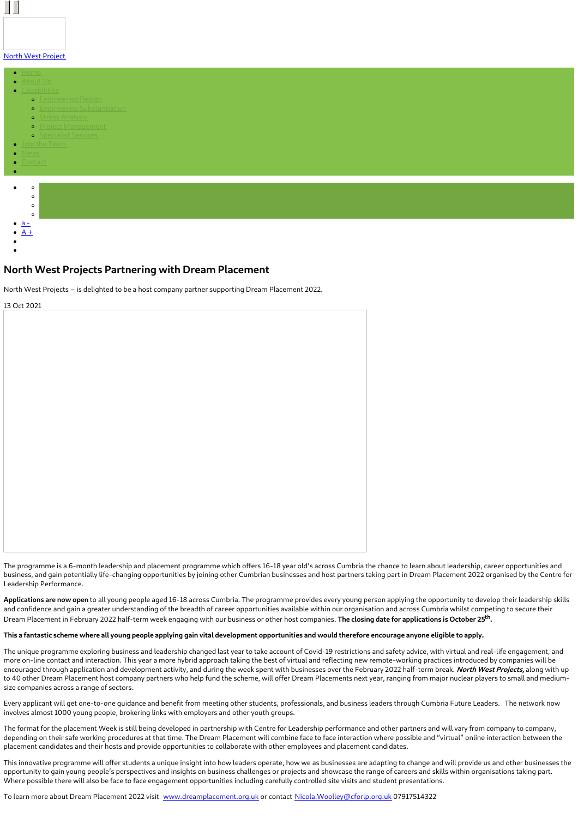

### North West [Project](https://www.northwestprojects.co.uk/)



### **North West Projects Partnering with Dream Placement**

North West Projects – is delighted to be a host company partner supporting Dream Placement 2022.

13 Oct 2021

The programme is a 6-month leadership and placement programme which offers 16-18 year old's across Cumbria the chance to learn about leadership, career opportunities and business, and gain potentially life-changing opportunities by joining other Cumbrian businesses and host partners taking part in Dream Placement 2022 organised by the Centre for Leadership Performance.

**Applications are now open** to all young people aged 16-18 across Cumbria. The programme provides every young person applying the opportunity to develop their leadership skills and confidence and gain a greater understanding of the breadth of career opportunities available within our organisation and across Cumbria whilst competing to secure their Dream Placement in February 2022 half-term week engaging with our business or other host companies. **The closing date for applications is October 25 th .**

#### This a fantastic scheme where all young people applying gain vital development opportunities and would therefore encourage anyone eligible to apply.

The unique programme exploring business and leadership changed last year to take account of Covid-19 restrictions and safety advice, with virtual and real-life engagement, and more on-line contact and interaction. This year a more hybrid approach taking the best of virtual and reflecting new remote-working practices introduced by companies will be encouraged through application and development activity, and during the week spent with businesses over the February 2022 half-term break. **North West Projects,** along with up to 40 other Dream Placement host company partners who help fund the scheme, will offer Dream Placements next year, ranging from major nuclear players to small and mediumsize companies across a range of sectors.

Every applicant will get one-to-one guidance and benefit from meeting other students, professionals, and business leaders through Cumbria Future Leaders. The network now involves almost 1000 young people, brokering links with employers and other youth groups.

The format for the placement Week is still being developed in partnership with Centre for Leadership performance and other partners and will vary from company to company, depending on their safe working procedures at that time. The Dream Placement will combine face to face interaction where possible and "virtual" online interaction between the placement candidates and their hosts and provide opportunities to collaborate with other employees and placement candidates.

This innovative programme will offer students a unique insight into how leaders operate, how we as businesses are adapting to change and will provide us and other businesses the opportunity to gain young people's perspectives and insights on business challenges or projects and showcase the range of careers and skills within organisations taking part. Where possible there will also be face to face engagement opportunities including carefully controlled site visits and student presentations.

To learn more about Dream Placement 2022 visit [www.dreamplacement.org.uk](http://www.dreamplacement.org.uk) or contact [Nicola.Woolley@cforlp.org.uk](mailto:Nicola.Woolley@cforlp.org.uk) 07917514322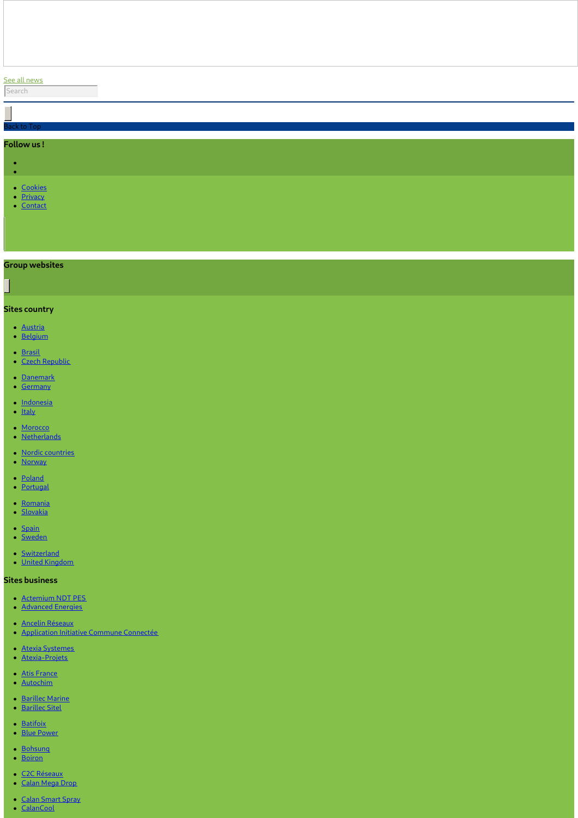## See all [news](https://www.northwestprojects.co.uk/news/)

| Back to Top                                  |  |  |  |
|----------------------------------------------|--|--|--|
|                                              |  |  |  |
| Follow us!                                   |  |  |  |
|                                              |  |  |  |
| $\epsilon$                                   |  |  |  |
| $\bullet$                                    |  |  |  |
| Octobies<br>Octobies<br>Octobies<br>Octobies |  |  |  |
|                                              |  |  |  |

## **Group websites**

# **Sites country**

- [Austria](http://www.vinci-energies.at/)
- [Belgium](http://www.vinci-energies.be/)
- [Brasil](http://www.vinci-energies.com.br/en/home/)
- Czech [Republic](http://www.vinci-energies.cz/)
- [Danemark](http://www.vinci-energies.dk/)
- [Germany](http://www.vinci-energies.de/)
- [Indonesia](http://www.vinci-energies.co.id/)
- [Italy](http://www.vinci-energies.it/)
- [Morocco](http://www.vinci-energies.ma/)
- [Netherlands](http://www.vinci-energies.nl/)
- Nordic [countries](http://www.vinci-energies.dk/)
- [Norway](http://www.vinci-energies.no/)
- [Poland](http://www.vinci-energies.pl)
- [Portugal](http://www.vinci-energies.pt/)
- [Romania](http://www.vinci-energies.ro/)
- [Slovakia](http://www.vinci-energies.sk/)
- [Spain](http://www.vinci-energies.es/)
- [Sweden](http://www.vinci-energies.se/)
- [Switzerland](http://www.vinci-energies.ch/)
- United [Kingdom](http://www.vinci-energies.co.uk/)

#### **Sites business**

- [Actemium](https://www.cegelec-ndt-pes.com) NDT PES
- [Advanced](http://www.advanced-energies.com/) Energies
- Ancelin [Réseaux](http://www.ancelinreseaux.fr/)
- [Application](https://www.applications-icc.fr) Initiative Commune Connectée
- Atexia [Systemes](https://www.atexia-systemes.fr/)
- [Atexia-Projets](https://www.atexia-projets.fr/)
- Atis [France](https://www.atis-france.fr)
- [Autochim](http://www.autochim.com/fr/)
- [Barillec](http://www.barillec-marine.com/) Marine
- [Barillec](http://www.barillec-sitel.fr) Sitel
- [Batifoix](https://www.batifoix.fr)
- Blue [Power](https://www.blue-power.it/)
- [Bohsung](https://www.bohsung.de/)
- [Boiron](https://www.sas-boiron.com)
- C2C [Réseaux](https://www.c2c-reseaux.fr) [Calan](https://www.calanmegadrop.de/) Mega Drop
- 
- Calan [Smart](https://www.calansmartspray.de/) Spray
- [CalanCool](https://www.calancool.de/)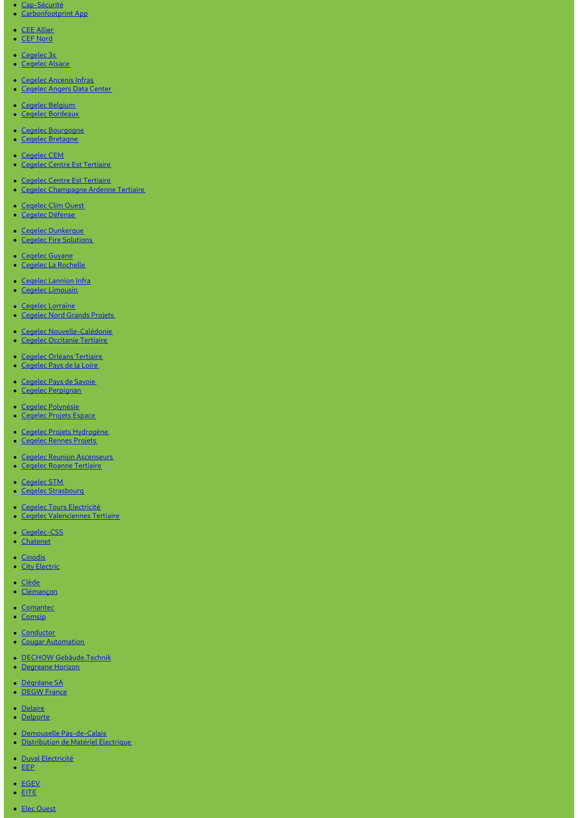- [Cap-Sécurité](https://www.capsecurite.com/)
- [Carbonfootprint](https://www.carbonfootprintapp.de/) App
- CEE [Allier](http://www.ceeallier.fr/)
- CEF [Nord](https://www.cefnord.com)
- 
- [Cegelec](http://www.cegelec3s.fr) 3s • [Cegelec](https://www.cegelec-alsace.com) Alsace
- 
- [Cegelec](https://www.cegelec-ancenis-infras.fr) Ancenis Infras
- **[Cegelec](http://www.cegelec-angers-data-center.fr/) Angers Data Center**
- [Cegelec](http://www.cegelec.be/) Belgium
- Cegelec [Bordeaux](https://www.cegelec-bordeaux.fr)
- Cegelec [Bourgogne](https://www.cegelec-bourgogne.com)
- Cegelec [Bretagne](http://www.cegelec-bretagne.fr/fr/)
- [Cegelec](https://www.cegelec-cem.fr/) CEM
- Cegelec Centre Est [Tertiaire](http://www.cegelec-lyon.com/)
- Cegelec Centre Est [Tertiaire](https://www.cegelec-centre-est-tertiaire.fr/)
- Cegelec [Champagne](https://www.cegelec-champagne-ardenne-tertiaire.com) Ardenne Tertiaire
- [Cegelec](http://www.cegelec-clim-ouest.fr/fr/) Clim Ouest
- [Cegelec](http://www.cegelec-defense.com) Défense
- Cegelec [Dunkerque](https://www.cegelec-dunkerque.com)
- Cegelec Fire [Solutions](http://www.cegelec.nl)
- [Cegelec](https://www.cegelec-guyane.fr) Guyane
- Cegelec La [Rochelle](https://www.cegelec-la-rochelle.fr)
- Cegelec [Lannion](https://www.cegelec-lannion-infras.fr/) Infra
- Cegelec [Limousin](http://www.cegelec-limousin.fr/)
- [Cegelec](https://www.cegelec-lorraine.com) Lorraine
- [Cegelec](http://www.cegelec-nord-grands-projets.com) Nord Grands Projets
- Cegelec [Nouvelle-Calédonie](https://www.cegelec.nc)
- **Cegelec [Occitanie](https://www.cegelec-occitanie-tertiaire.fr/) Tertiaire**
- Cegelec Orléans [Tertiaire](https://cegelec-orleans-tertiaire.fr)
- [Cegelec](http://www.cegelec-pays-de-la-loire.fr) Pays de la Loire
- [Cegelec](https://www.cegelec-pays-de-savoie.fr/) Pays de Savoie Cegelec [Perpignan](https://www.cegelec-perpignan.com)
- 
- Cegelec [Polynésie](http://www.cegelec-polynesie.com)
- [Cegelec](http://www.cegelec-projets-espace.com/) Projets Espace
- Cegelec Projets [Hydrogène](https://www.cegelec-projets-hydrogene.fr)
- [Cegelec](https://www.cegelec-rennes-projets.fr/) Rennes Projets
- Cegelec Reunion [Ascenseurs](https://www.cegelec-reunion-ascenseurs.com)
- Cegelec Roanne [Tertiaire](https://www.cegelec-roanne-tertiaire.fr/)
- [Cegelec](https://www.cegelec-stm.fr/) STM
- Cegelec [Strasbourg](http://www.cegelec-strasbourg.fr/)
- Cegelec Tours [Electricité](https://www.cegelec-tours-electricite.fr/) Cegelec [Valenciennes](http://www.cegelec-valenciennes-tertiaire.com/) Tertiaire
- [Cegelec-CSS](https://www.cegelec-css.com/)
- [Chatenet](https://www.chatenet-sas.fr)
- [Cinodis](https://www.cinodis.fr/)
- City [Electric](https://www.city-electric.lu)
- · [Clède](https://www.clede.fr)
- [Clémançon](https://www.clemancon.fr)
- [Comantec](https://www.comantec.be/)
- [Comsip](http://www.comsip.fr/en/)
- 
- [Conductor](https://www.conductor.as/) • Cougar [Automation](https://www.cougar-automation.com/)
- DECHOW [Gebäude.Technik](https://www.dechow-dl-gmbh.de/)
- [Degreane](http://www.degreane-horizon.fr) Horizon
- [Dégréane](https://www.degreane.fr/) SA
- [DEGW](https://www.degwfrance.com/) France
- · [Delaire](https://www.sas-delaire.fr/)
- [Delporte](https://www.delporte.fr/)
- Demouselle [Pas-de-Calais](https://www.demouselle-pas-de-calais.fr)
- [Distribution](https://www.dme-energies.com) de Matériel Electrique
- Duval [Electricité](https://duval-electricite.fr/)
- $\cdot$  [EEP](https://www.eep.fr)
- [EGEV](https://www.egev.fr/)  $\cdot$  [EITE](https://www.eite-entreprises.fr/)
- Elec [Ouest](http://www.elec-ouest.fr)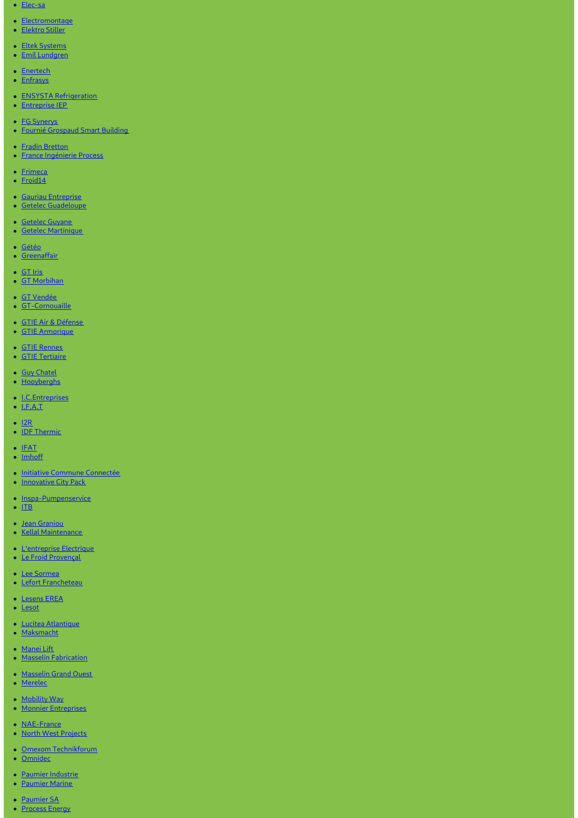- [Elec-sa](https://www.elec-sa.fr/)
- [Electromontage](https://www.electromontage.fr/)
- [Elektro](https://www.elektro-stiller.de) Stiller
- Eltek [Systems](https://www.eltek-systems.com/)
- Emil [Lundgren](https://www.emillundgren.se/)
- [Enertech](https://www.enertech-eut.de/)
- [Enfrasys](https://www.enfrasys.fr/)
- ENSYSTA [Refrigeration](http://www.ensysta.be/nl/)
- [Entreprise](http://www.i-e-p.fr) IEP
- FG [Synerys](https://www.fgsynerys.fr)
- Fournié [Grospaud](https://www.fgtlse.fr) Smart Building
- Fradin [Bretton](http://www.fradin-bretton.fr/)
- **France [Ingénierie](https://www.france-ingenierie-process.com/) Process**
- [Frimeca](https://www.frimeca.com/)
- $\cdot$  [Froid14](http://www.froid14.com/)
- Gauriau [Entreprise](http://www.gauriau-entreprise.fr/)
- Getelec [Guadeloupe](http://www.getelec-guadeloupe.fr/)
- [Getelec](https://www.getelec-guyane.fr/) Guyane
- Getelec [Martinique](https://www.getelec-martinique.fr)
- [Gétéo](https://www.geteo.fr/)
- [Greenaffair](https://www.greenaffair.com)
- [GT](http://www.gt-iris.fr/) Iris
- GT [Morbihan](https://www.gt-morbihan.com)
- GT [Vendée](http://www.gt-vendee.fr/)
- [GT-Cornouaille](https://www.gt-cornouaille.fr/)
- 
- GTIE Air & [Défense](https://www.gtie-airetdefense.fr) GTIE [Armorique](https://www.gtie-armorique.com)
- 
- GTIE [Rennes](http://www.gtie-rennes.com/)
- GTIE [Tertiaire](https://www.gtie-tertiaire.com/)
- **Guy [Chatel](http://guy-chatel.fr/)**
- [Hooyberghs](https://www.hooyberghs.be/)
- [I.C.Entreprises](http://www.ic-entreprises.com/)
- $\bullet$  [I.F.A.T](https://www.ifat.fr)
- $\cdot$  [I2R](http://www.i2r-ingenierie.com/)
- **IDF [Thermic](http://www.idf-thermic.com/)**
- $\cdot$  [IFAT](https://www.ifat.fr/)
- [Imhoff](https://www.imhoff.fr)
- Initiative Commune [Connectée](https://www.initiativecommuneconnectee.fr)
- [Innovative](https://www.icpack.fr) City Pack
- [Inspa-Pumpenservice](https://www.inspa-pumpenservice.de/)
- $\cdot$  [ITB](https:)
- Jean [Graniou](https://www.jeangraniou.fr/)
- Kellal [Maintenance](https://www.kellal-maintenance.fr/)
- [L'entreprise](http://www.lentreprise-electrique.fr/) Electrique
- Le Froid [Provençal](https://www.lefroidprovencal.fr)
- Lee [Sormea](https://www.lee-sormea.com)
- Lefort [Francheteau](https://www.lefortfrancheteau.com/)
- [Lesens](https://www.lesens-erea.fr/) EREA
- [Lesot](https://www.lesot.fr)
- Lucitea [Atlantique](http://www.lucitea-atlantique.fr)
- [Maksmacht](https://www.maksmacht.de/)
- [Manei](https://www.manei-lift.fr) Lift
- Masselin [Fabrication](http://masselin-fabrication.fr/)
- [Masselin](http://www.masselin-grand-ouest.fr/) Grand Ouest
- [Merelec](https://www.merelec.fr)
- [Mobility](https://www.mobility-way.com) Way
- **Monnier [Entreprises](http://www.monnier-energies.com/)**
- **[NAE-France](https://www.nae-france.com/)**
- North West [Projects](https://www.northwestprojects.co.uk/)
- Omexom [Technikforum](https://www.omexom-technikforum.de)
- [Omnidec](https://www.omnidec.com/)
- Paumier [Industrie](https://www.paumier-industrie.fr)
- [Paumier](https://www.paumier-marine.fr) Marine
- [Paumier](https://www.paumier-sa.fr) SA
- [Process](http://www.process-energy.fr) Energy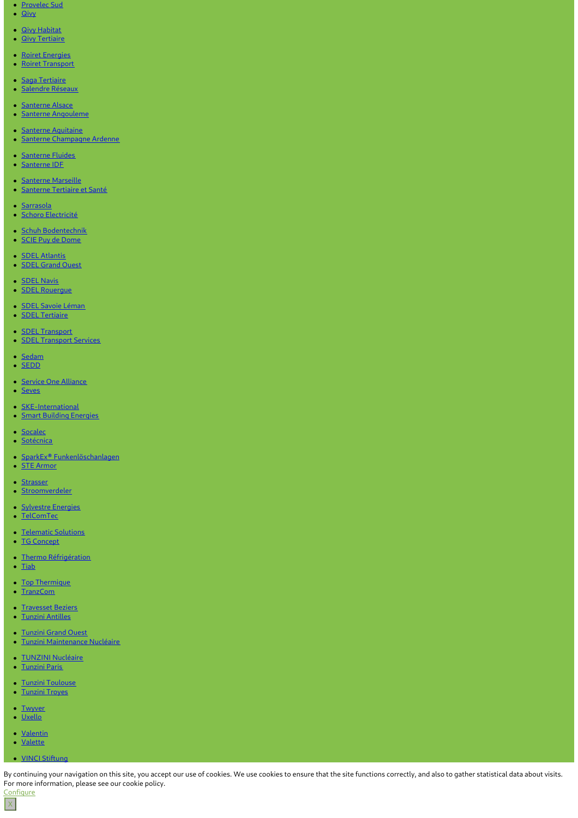- [Provelec](https://www.provelec-sud.fr) Sud
- [Qivy](http://www.qivy.fr/fr/)
- Qivy [Habitat](https://www.qivy-habitat.fr)
- **Qivy [Tertiaire](https://www.qivy-tertiaire.fr)**
- Roiret [Energies](https://www.roiret-energies.com/)
- Roiret [Transport](http://www.roiret-transport.fr/)
- Saga [Tertiaire](http://www.saga-tertiaire.fr/)
- · [Salendre](https://www.salendre.com/) Réseaux
- [Santerne](https://www.santerne-alsace.fr) Alsace
- Santerne [Angouleme](http://www.santerne-angouleme.fr/)  $\bullet$
- Santerne [Aquitaine](https://www.santerne-aquitaine.fr/)
- **Santerne [Champagne](https://www.santerne-champagne-ardenne.fr) Ardenne**
- **[Santerne](https://www.santerne-fluides.fr) Fluides**
- [Santerne](https://www.santerne-idf.fr) IDF
- **[Santerne](https://www.santerne-marseille.com/) Marseille**
- [Santerne](https://www.santerne-tertiaire-sante.fr) Tertiaire et Santé  $\bullet$
- · [Sarrasola](https://www.sarrasola.com/)
- · Schoro [Electricité](http://www.schoro.fr/site/presentation.htm)
- Schuh [Bodentechnik](https://www.schuh-bodentechnik.de)
- SCIE Puy de [Dome](http://www.scie-pdd.com/)
- **SDEL [Atlantis](https://www.sdel-atlantis.fr/)**
- SDEL [Grand](http://www.sdel-grand-ouest.fr/) Ouest
- **[SDEL](https://www.sdel-navis.fr) Navis**
- SDEL [Rouergue](https://www.sdel-rouergue.fr/)
- SDEL Savoie [Léman](https://www.sdel-savoie-leman.fr/)
- SDEL [Tertiaire](https://www.sdel-tertiaire.fr)
- **SDEL [Transport](https://www.sdel-transport.fr)**
- **SDEL [Transport](https://www.sdel-transport-services.fr/) Services**
- [Sedam](https://www.sedam-champagne.com)
- [SEDD](https://www.sedd.fr)
- Service One [Alliance](http://www.serviceonealliance.com/)
- [Seves](https://www.seves.fr)
- **[SKE-International](https://www.ske-international.com/)**
- **Smart Building [Energies](http://www.smart-building-energies.com/fr/)**
- [Socalec](http://www.socalec.fr/)
- · [Sotécnica](https://www.sotecnica.pt/pt)
- SparkEx® [Funkenlöschanlagen](https://www.funken-loeschanlage.de/)
- STE [Armor](https://www.ste-armor.fr/fr/)
- [Strasser](https://www.strasser.fr/)
- [Stroomverdeler](https://www.stroomverdeler.be/)
- **[Sylvestre](http://www.s-energies.fr/) Energies**
- [TelComTec](https://telcomtec.fr)
- [Telematic](https://www.telematicsolutions.it/) Solutions • TG [Concept](http://www.tgconcept.com)
- Thermo [Réfrigération](http://www.thermorefrigeration.com/en/thermo-refrigeration-home-page/)
- $\bullet$  [Tiab](https://www.tiab.ro/)
- Top [Thermique](https://www.top-thermique.fr)
- [TranzCom](https://www.tranzcom.com)
- [Travesset](https://www.travesset-beziers.fr) Beziers
- Tunzini [Antilles](https://www.tunzini-antilles.fr)
- [Tunzini](http://www.tunzini-grand-ouest.fr/) Grand Ouest
- Tunzini [Maintenance](http://www.tunzinimn.fr) Nucléaire
- · TUNZINI [Nucléaire](https://www.tunzininucleaire.fr/)
- [Tunzini](http://www.tunzini-paris.fr/) Paris
- Tunzini [Toulouse](http://www.tunzini-toulouse.fr)
- [Tunzini](https://www.tunzini-troyes.fr) Troyes
- [Twyver](http://www.twyverswitchgear.co.uk/)
- [Uxello](http://www.uxello-si.com/en/accueil/)
- [Valentin](https://valentin-ets.com)
- [Valette](http://www.valette-ete.fr/)
- VINCI [Stiftung](https://www.vinci-stiftung.de)

By continuing your navigation on this site, you accept our use of cookies. We use cookies to ensure that the site functions correctly, and also to gather statistical data about visits. For more information, please see our cookie policy. **Configure** 

 $\vert x \vert$